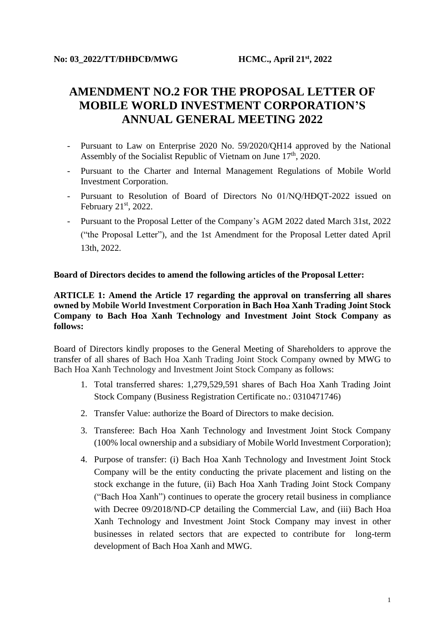## **AMENDMENT NO.2 FOR THE PROPOSAL LETTER OF MOBILE WORLD INVESTMENT CORPORATION'S ANNUAL GENERAL MEETING 2022**

- Pursuant to Law on Enterprise 2020 No. 59/2020/QH14 approved by the National Assembly of the Socialist Republic of Vietnam on June 17<sup>th</sup>, 2020.
- Pursuant to the Charter and Internal Management Regulations of Mobile World Investment Corporation.
- Pursuant to Resolution of Board of Directors No 01/NQ/HĐQT-2022 issued on February 21<sup>st</sup>, 2022.
- Pursuant to the Proposal Letter of the Company's AGM 2022 dated March 31st, 2022 ("the Proposal Letter"), and the 1st Amendment for the Proposal Letter dated April 13th, 2022.

## **Board of Directors decides to amend the following articles of the Proposal Letter:**

## **ARTICLE 1: Amend the Article 17 regarding the approval on transferring all shares owned by Mobile World Investment Corporation in Bach Hoa Xanh Trading Joint Stock Company to Bach Hoa Xanh Technology and Investment Joint Stock Company as follows:**

Board of Directors kindly proposes to the General Meeting of Shareholders to approve the transfer of all shares of Bach Hoa Xanh Trading Joint Stock Company owned by MWG to Bach Hoa Xanh Technology and Investment Joint Stock Company as follows:

- 1. Total transferred shares: 1,279,529,591 shares of Bach Hoa Xanh Trading Joint Stock Company (Business Registration Certificate no.: 0310471746)
- 2. Transfer Value: authorize the Board of Directors to make decision.
- 3. Transferee: Bach Hoa Xanh Technology and Investment Joint Stock Company (100% local ownership and a subsidiary of Mobile World Investment Corporation);
- 4. Purpose of transfer: (i) Bach Hoa Xanh Technology and Investment Joint Stock Company will be the entity conducting the private placement and listing on the stock exchange in the future, (ii) Bach Hoa Xanh Trading Joint Stock Company ("Bach Hoa Xanh") continues to operate the grocery retail business in compliance with Decree 09/2018/ND-CP detailing the Commercial Law, and (iii) Bach Hoa Xanh Technology and Investment Joint Stock Company may invest in other businesses in related sectors that are expected to contribute for long-term development of Bach Hoa Xanh and MWG.